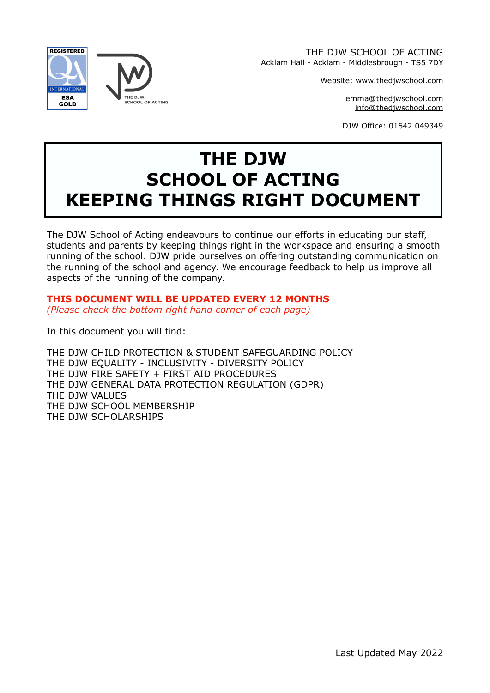

THE DJW SCHOOL OF ACTING Acklam Hall - Acklam - Middlesbrough - TS5 7DY

Website: www.thedjwschool.com

[emma@thedjwschool.com](mailto:emma@thedjwschool.com) [info@thedjwschool.com](mailto:info@thedjwschool.com)

DJW Office: 01642 049349

# **THE DJW SCHOOL OF ACTING KEEPING THINGS RIGHT DOCUMENT**

The DJW School of Acting endeavours to continue our efforts in educating our staff, students and parents by keeping things right in the workspace and ensuring a smooth running of the school. DJW pride ourselves on offering outstanding communication on the running of the school and agency. We encourage feedback to help us improve all aspects of the running of the company.

**THIS DOCUMENT WILL BE UPDATED EVERY 12 MONTHS**  *(Please check the bottom right hand corner of each page)* 

In this document you will find:

THE DJW CHILD PROTECTION & STUDENT SAFEGUARDING POLICY THE DJW EQUALITY - INCLUSIVITY - DIVERSITY POLICY THE DJW FIRE SAFETY + FIRST AID PROCEDURES THE DJW GENERAL DATA PROTECTION REGULATION (GDPR) THE DJW VALUES THE DJW SCHOOL MEMBERSHIP THE DJW SCHOLARSHIPS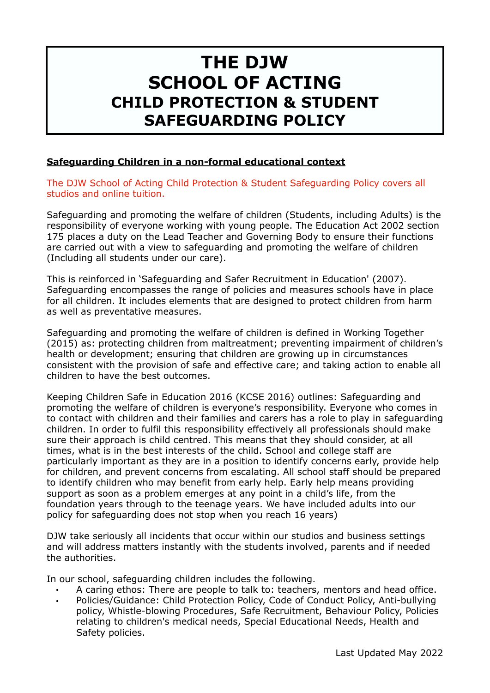# **THE DJW SCHOOL OF ACTING CHILD PROTECTION & STUDENT SAFEGUARDING POLICY**

## **Safeguarding Children in a non-formal educational context**

The DJW School of Acting Child Protection & Student Safeguarding Policy covers all studios and online tuition.

Safeguarding and promoting the welfare of children (Students, including Adults) is the responsibility of everyone working with young people. The Education Act 2002 section 175 places a duty on the Lead Teacher and Governing Body to ensure their functions are carried out with a view to safeguarding and promoting the welfare of children (Including all students under our care).

This is reinforced in 'Safeguarding and Safer Recruitment in Education' (2007). Safeguarding encompasses the range of policies and measures schools have in place for all children. It includes elements that are designed to protect children from harm as well as preventative measures.

Safeguarding and promoting the welfare of children is defined in Working Together (2015) as: protecting children from maltreatment; preventing impairment of children's health or development; ensuring that children are growing up in circumstances consistent with the provision of safe and effective care; and taking action to enable all children to have the best outcomes.

Keeping Children Safe in Education 2016 (KCSE 2016) outlines: Safeguarding and promoting the welfare of children is everyone's responsibility. Everyone who comes in to contact with children and their families and carers has a role to play in safeguarding children. In order to fulfil this responsibility effectively all professionals should make sure their approach is child centred. This means that they should consider, at all times, what is in the best interests of the child. School and college staff are particularly important as they are in a position to identify concerns early, provide help for children, and prevent concerns from escalating. All school staff should be prepared to identify children who may benefit from early help. Early help means providing support as soon as a problem emerges at any point in a child's life, from the foundation years through to the teenage years. We have included adults into our policy for safeguarding does not stop when you reach 16 years)

DJW take seriously all incidents that occur within our studios and business settings and will address matters instantly with the students involved, parents and if needed the authorities.

In our school, safeguarding children includes the following.

- A caring ethos: There are people to talk to: teachers, mentors and head office.
- Policies/Guidance: Child Protection Policy, Code of Conduct Policy, Anti-bullying policy, Whistle-blowing Procedures, Safe Recruitment, Behaviour Policy, Policies relating to children's medical needs, Special Educational Needs, Health and Safety policies.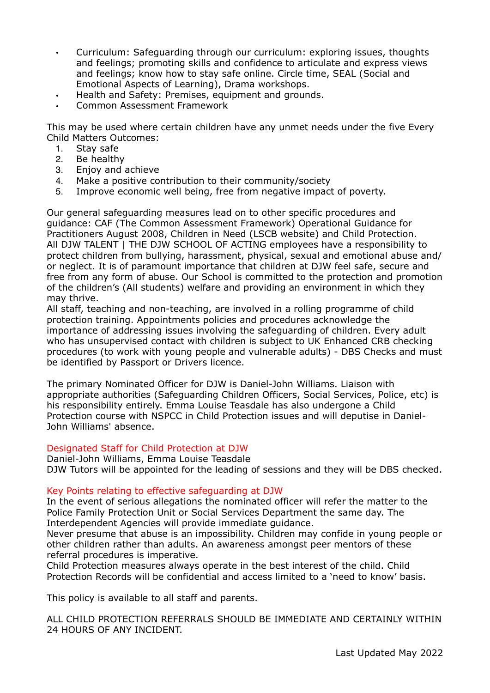- Curriculum: Safeguarding through our curriculum: exploring issues, thoughts and feelings; promoting skills and confidence to articulate and express views and feelings; know how to stay safe online. Circle time, SEAL (Social and Emotional Aspects of Learning), Drama workshops.
- Health and Safety: Premises, equipment and grounds.
- Common Assessment Framework

This may be used where certain children have any unmet needs under the five Every Child Matters Outcomes:

- 1. Stay safe<br>2 Be healthy
- Be healthy
- 3. Enjoy and achieve
- 4. Make a positive contribution to their community/society
- 5. Improve economic well being, free from negative impact of poverty.

Our general safeguarding measures lead on to other specific procedures and guidance: CAF (The Common Assessment Framework) Operational Guidance for Practitioners August 2008, Children in Need (LSCB website) and Child Protection. All DJW TALENT | THE DJW SCHOOL OF ACTING employees have a responsibility to protect children from bullying, harassment, physical, sexual and emotional abuse and/ or neglect. It is of paramount importance that children at DJW feel safe, secure and free from any form of abuse. Our School is committed to the protection and promotion of the children's (All students) welfare and providing an environment in which they may thrive.

All staff, teaching and non-teaching, are involved in a rolling programme of child protection training. Appointments policies and procedures acknowledge the importance of addressing issues involving the safeguarding of children. Every adult who has unsupervised contact with children is subject to UK Enhanced CRB checking procedures (to work with young people and vulnerable adults) - DBS Checks and must be identified by Passport or Drivers licence.

The primary Nominated Officer for DJW is Daniel-John Williams. Liaison with appropriate authorities (Safeguarding Children Officers, Social Services, Police, etc) is his responsibility entirely. Emma Louise Teasdale has also undergone a Child Protection course with NSPCC in Child Protection issues and will deputise in Daniel-John Williams' absence.

#### Designated Staff for Child Protection at DJW

Daniel-John Williams, Emma Louise Teasdale DJW Tutors will be appointed for the leading of sessions and they will be DBS checked.

#### Key Points relating to effective safeguarding at DJW

In the event of serious allegations the nominated officer will refer the matter to the Police Family Protection Unit or Social Services Department the same day. The Interdependent Agencies will provide immediate guidance.

Never presume that abuse is an impossibility. Children may confide in young people or other children rather than adults. An awareness amongst peer mentors of these referral procedures is imperative.

Child Protection measures always operate in the best interest of the child. Child Protection Records will be confidential and access limited to a 'need to know' basis.

This policy is available to all staff and parents.

ALL CHILD PROTECTION REFERRALS SHOULD BE IMMEDIATE AND CERTAINLY WITHIN 24 HOURS OF ANY INCIDENT.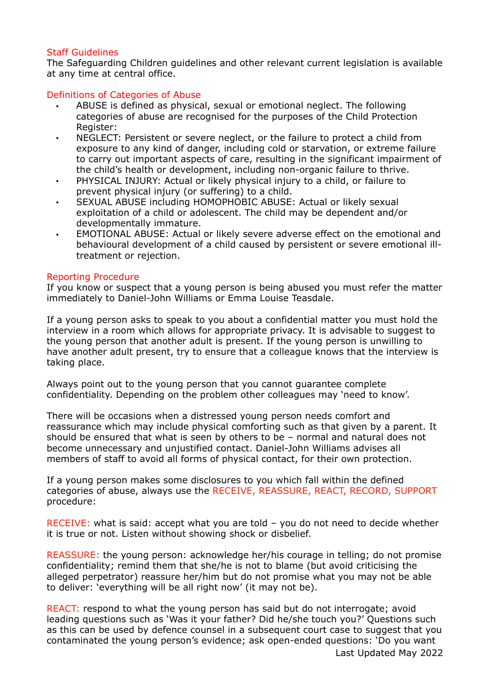#### Staff Guidelines

The Safeguarding Children guidelines and other relevant current legislation is available at any time at central office.

#### Definitions of Categories of Abuse

- ABUSE is defined as physical, sexual or emotional neglect. The following categories of abuse are recognised for the purposes of the Child Protection Register:
- NEGLECT: Persistent or severe neglect, or the failure to protect a child from exposure to any kind of danger, including cold or starvation, or extreme failure to carry out important aspects of care, resulting in the significant impairment of the child's health or development, including non-organic failure to thrive.
- PHYSICAL INJURY: Actual or likely physical injury to a child, or failure to prevent physical injury (or suffering) to a child.
- SEXUAL ABUSE including HOMOPHOBIC ABUSE: Actual or likely sexual exploitation of a child or adolescent. The child may be dependent and/or developmentally immature.
- EMOTIONAL ABUSE: Actual or likely severe adverse effect on the emotional and behavioural development of a child caused by persistent or severe emotional illtreatment or rejection.

#### Reporting Procedure

If you know or suspect that a young person is being abused you must refer the matter immediately to Daniel-John Williams or Emma Louise Teasdale.

If a young person asks to speak to you about a confidential matter you must hold the interview in a room which allows for appropriate privacy. It is advisable to suggest to the young person that another adult is present. If the young person is unwilling to have another adult present, try to ensure that a colleague knows that the interview is taking place.

Always point out to the young person that you cannot guarantee complete confidentiality. Depending on the problem other colleagues may 'need to know'.

There will be occasions when a distressed young person needs comfort and reassurance which may include physical comforting such as that given by a parent. It should be ensured that what is seen by others to be – normal and natural does not become unnecessary and unjustified contact. Daniel-John Williams advises all members of staff to avoid all forms of physical contact, for their own protection.

If a young person makes some disclosures to you which fall within the defined categories of abuse, always use the RECEIVE, REASSURE, REACT, RECORD, SUPPORT procedure:

RECEIVE: what is said: accept what you are told – you do not need to decide whether it is true or not. Listen without showing shock or disbelief.

REASSURE: the young person: acknowledge her/his courage in telling; do not promise confidentiality; remind them that she/he is not to blame (but avoid criticising the alleged perpetrator) reassure her/him but do not promise what you may not be able to deliver: 'everything will be all right now' (it may not be).

REACT: respond to what the young person has said but do not interrogate; avoid leading questions such as 'Was it your father? Did he/she touch you?' Questions such as this can be used by defence counsel in a subsequent court case to suggest that you contaminated the young person's evidence; ask open-ended questions: 'Do you want Last Updated May 2022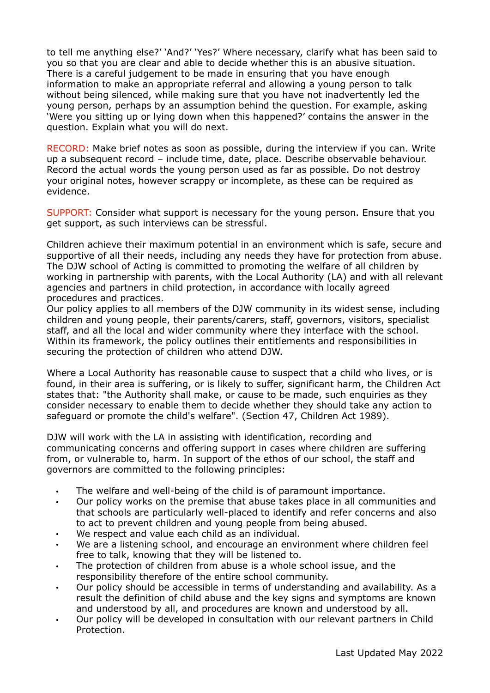to tell me anything else?' 'And?' 'Yes?' Where necessary, clarify what has been said to you so that you are clear and able to decide whether this is an abusive situation. There is a careful judgement to be made in ensuring that you have enough information to make an appropriate referral and allowing a young person to talk without being silenced, while making sure that you have not inadvertently led the young person, perhaps by an assumption behind the question. For example, asking 'Were you sitting up or lying down when this happened?' contains the answer in the question. Explain what you will do next.

RECORD: Make brief notes as soon as possible, during the interview if you can. Write up a subsequent record – include time, date, place. Describe observable behaviour. Record the actual words the young person used as far as possible. Do not destroy your original notes, however scrappy or incomplete, as these can be required as evidence.

SUPPORT: Consider what support is necessary for the young person. Ensure that you get support, as such interviews can be stressful.

Children achieve their maximum potential in an environment which is safe, secure and supportive of all their needs, including any needs they have for protection from abuse. The DJW school of Acting is committed to promoting the welfare of all children by working in partnership with parents, with the Local Authority (LA) and with all relevant agencies and partners in child protection, in accordance with locally agreed procedures and practices.

Our policy applies to all members of the DJW community in its widest sense, including children and young people, their parents/carers, staff, governors, visitors, specialist staff, and all the local and wider community where they interface with the school. Within its framework, the policy outlines their entitlements and responsibilities in securing the protection of children who attend DJW.

Where a Local Authority has reasonable cause to suspect that a child who lives, or is found, in their area is suffering, or is likely to suffer, significant harm, the Children Act states that: "the Authority shall make, or cause to be made, such enquiries as they consider necessary to enable them to decide whether they should take any action to safeguard or promote the child's welfare". (Section 47, Children Act 1989).

DJW will work with the LA in assisting with identification, recording and communicating concerns and offering support in cases where children are suffering from, or vulnerable to, harm. In support of the ethos of our school, the staff and governors are committed to the following principles:

- The welfare and well-being of the child is of paramount importance.
- Our policy works on the premise that abuse takes place in all communities and that schools are particularly well-placed to identify and refer concerns and also to act to prevent children and young people from being abused.
- We respect and value each child as an individual.
- We are a listening school, and encourage an environment where children feel free to talk, knowing that they will be listened to.
- The protection of children from abuse is a whole school issue, and the responsibility therefore of the entire school community.
- Our policy should be accessible in terms of understanding and availability. As a result the definition of child abuse and the key signs and symptoms are known and understood by all, and procedures are known and understood by all.
- Our policy will be developed in consultation with our relevant partners in Child Protection.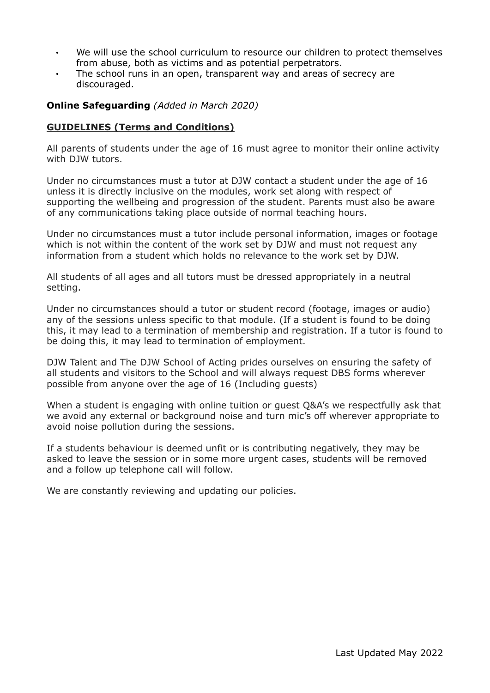- We will use the school curriculum to resource our children to protect themselves from abuse, both as victims and as potential perpetrators.
- The school runs in an open, transparent way and areas of secrecy are discouraged.

#### **Online Safeguarding** *(Added in March 2020)*

#### **GUIDELINES (Terms and Conditions)**

All parents of students under the age of 16 must agree to monitor their online activity with DJW tutors.

Under no circumstances must a tutor at DJW contact a student under the age of 16 unless it is directly inclusive on the modules, work set along with respect of supporting the wellbeing and progression of the student. Parents must also be aware of any communications taking place outside of normal teaching hours.

Under no circumstances must a tutor include personal information, images or footage which is not within the content of the work set by DJW and must not request any information from a student which holds no relevance to the work set by DJW.

All students of all ages and all tutors must be dressed appropriately in a neutral setting.

Under no circumstances should a tutor or student record (footage, images or audio) any of the sessions unless specific to that module. (If a student is found to be doing this, it may lead to a termination of membership and registration. If a tutor is found to be doing this, it may lead to termination of employment.

DJW Talent and The DJW School of Acting prides ourselves on ensuring the safety of all students and visitors to the School and will always request DBS forms wherever possible from anyone over the age of 16 (Including guests)

When a student is engaging with online tuition or guest Q&A's we respectfully ask that we avoid any external or background noise and turn mic's off wherever appropriate to avoid noise pollution during the sessions.

If a students behaviour is deemed unfit or is contributing negatively, they may be asked to leave the session or in some more urgent cases, students will be removed and a follow up telephone call will follow.

We are constantly reviewing and updating our policies.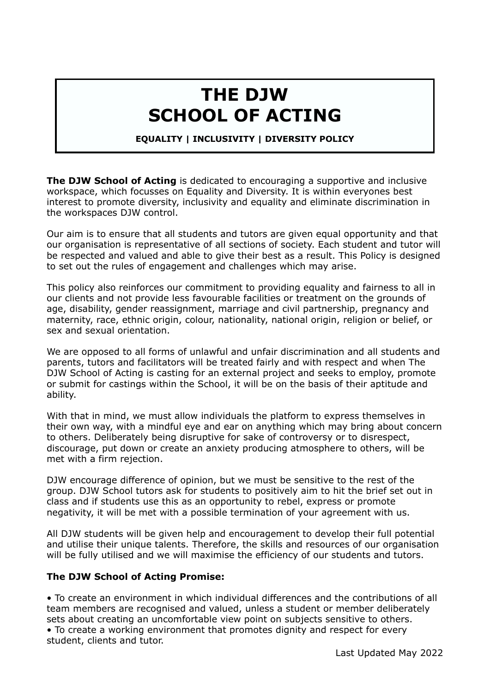# **THE DJW SCHOOL OF ACTING**

#### **EQUALITY | INCLUSIVITY | DIVERSITY POLICY**

**The DJW School of Acting** is dedicated to encouraging a supportive and inclusive workspace, which focusses on Equality and Diversity. It is within everyones best interest to promote diversity, inclusivity and equality and eliminate discrimination in the workspaces DJW control.

Our aim is to ensure that all students and tutors are given equal opportunity and that our organisation is representative of all sections of society. Each student and tutor will be respected and valued and able to give their best as a result. This Policy is designed to set out the rules of engagement and challenges which may arise.

This policy also reinforces our commitment to providing equality and fairness to all in our clients and not provide less favourable facilities or treatment on the grounds of age, disability, gender reassignment, marriage and civil partnership, pregnancy and maternity, race, ethnic origin, colour, nationality, national origin, religion or belief, or sex and sexual orientation.

We are opposed to all forms of unlawful and unfair discrimination and all students and parents, tutors and facilitators will be treated fairly and with respect and when The DJW School of Acting is casting for an external project and seeks to employ, promote or submit for castings within the School, it will be on the basis of their aptitude and ability.

With that in mind, we must allow individuals the platform to express themselves in their own way, with a mindful eye and ear on anything which may bring about concern to others. Deliberately being disruptive for sake of controversy or to disrespect, discourage, put down or create an anxiety producing atmosphere to others, will be met with a firm rejection.

DJW encourage difference of opinion, but we must be sensitive to the rest of the group. DJW School tutors ask for students to positively aim to hit the brief set out in class and if students use this as an opportunity to rebel, express or promote negativity, it will be met with a possible termination of your agreement with us.

All DJW students will be given help and encouragement to develop their full potential and utilise their unique talents. Therefore, the skills and resources of our organisation will be fully utilised and we will maximise the efficiency of our students and tutors.

## **The DJW School of Acting Promise:**

• To create an environment in which individual differences and the contributions of all team members are recognised and valued, unless a student or member deliberately sets about creating an uncomfortable view point on subjects sensitive to others.

• To create a working environment that promotes dignity and respect for every student, clients and tutor.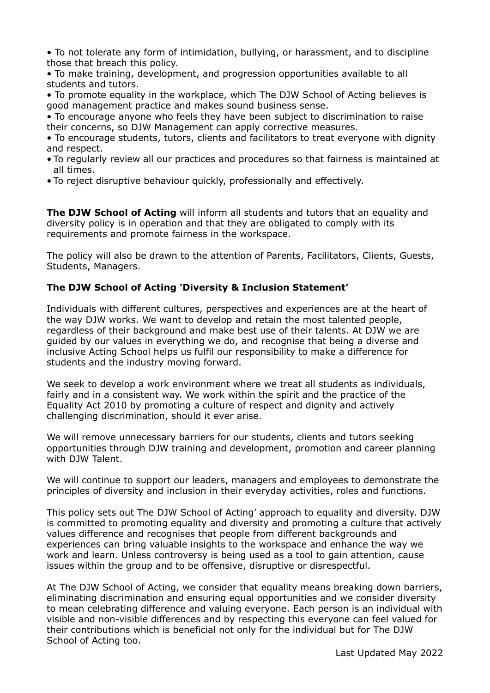• To not tolerate any form of intimidation, bullying, or harassment, and to discipline those that breach this policy.

• To make training, development, and progression opportunities available to all students and tutors.

• To promote equality in the workplace, which The DJW School of Acting believes is good management practice and makes sound business sense.

• To encourage anyone who feels they have been subject to discrimination to raise their concerns, so DJW Management can apply corrective measures.

• To encourage students, tutors, clients and facilitators to treat everyone with dignity and respect.

- To regularly review all our practices and procedures so that fairness is maintained at all times.
- To reject disruptive behaviour quickly, professionally and effectively.

**The DJW School of Acting** will inform all students and tutors that an equality and diversity policy is in operation and that they are obligated to comply with its requirements and promote fairness in the workspace.

The policy will also be drawn to the attention of Parents, Facilitators, Clients, Guests, Students, Managers.

## **The DJW School of Acting 'Diversity & Inclusion Statement'**

Individuals with different cultures, perspectives and experiences are at the heart of the way DJW works. We want to develop and retain the most talented people, regardless of their background and make best use of their talents. At DJW we are guided by our values in everything we do, and recognise that being a diverse and inclusive Acting School helps us fulfil our responsibility to make a difference for students and the industry moving forward.

We seek to develop a work environment where we treat all students as individuals, fairly and in a consistent way. We work within the spirit and the practice of the Equality Act 2010 by promoting a culture of respect and dignity and actively challenging discrimination, should it ever arise.

We will remove unnecessary barriers for our students, clients and tutors seeking opportunities through DJW training and development, promotion and career planning with DJW Talent.

We will continue to support our leaders, managers and employees to demonstrate the principles of diversity and inclusion in their everyday activities, roles and functions.

This policy sets out The DJW School of Acting' approach to equality and diversity. DJW is committed to promoting equality and diversity and promoting a culture that actively values difference and recognises that people from different backgrounds and experiences can bring valuable insights to the workspace and enhance the way we work and learn. Unless controversy is being used as a tool to gain attention, cause issues within the group and to be offensive, disruptive or disrespectful.

At The DJW School of Acting, we consider that equality means breaking down barriers, eliminating discrimination and ensuring equal opportunities and we consider diversity to mean celebrating difference and valuing everyone. Each person is an individual with visible and non-visible differences and by respecting this everyone can feel valued for their contributions which is beneficial not only for the individual but for The DJW School of Acting too.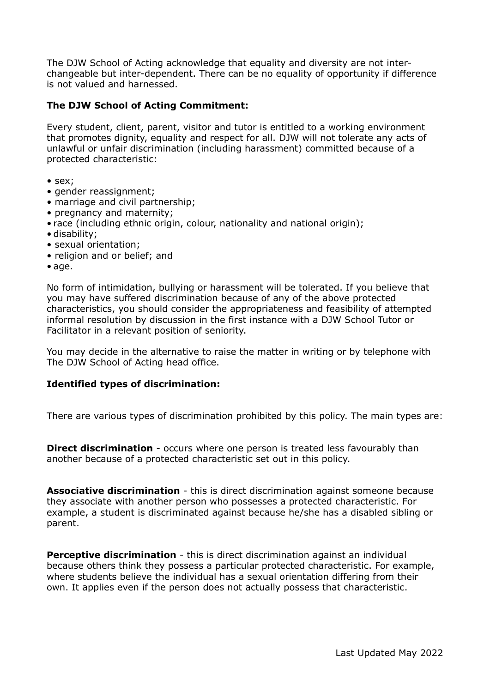The DJW School of Acting acknowledge that equality and diversity are not interchangeable but inter-dependent. There can be no equality of opportunity if difference is not valued and harnessed.

## **The DJW School of Acting Commitment:**

Every student, client, parent, visitor and tutor is entitled to a working environment that promotes dignity, equality and respect for all. DJW will not tolerate any acts of unlawful or unfair discrimination (including harassment) committed because of a protected characteristic:

- sex;
- gender reassignment;
- marriage and civil partnership;
- pregnancy and maternity;
- race (including ethnic origin, colour, nationality and national origin);
- disability;
- sexual orientation;
- religion and or belief; and
- age.

No form of intimidation, bullying or harassment will be tolerated. If you believe that you may have suffered discrimination because of any of the above protected characteristics, you should consider the appropriateness and feasibility of attempted informal resolution by discussion in the first instance with a DJW School Tutor or Facilitator in a relevant position of seniority.

You may decide in the alternative to raise the matter in writing or by telephone with The DJW School of Acting head office.

## **Identified types of discrimination:**

There are various types of discrimination prohibited by this policy. The main types are:

**Direct discrimination** - occurs where one person is treated less favourably than another because of a protected characteristic set out in this policy.

**Associative discrimination** - this is direct discrimination against someone because they associate with another person who possesses a protected characteristic. For example, a student is discriminated against because he/she has a disabled sibling or parent.

**Perceptive discrimination** - this is direct discrimination against an individual because others think they possess a particular protected characteristic. For example, where students believe the individual has a sexual orientation differing from their own. It applies even if the person does not actually possess that characteristic.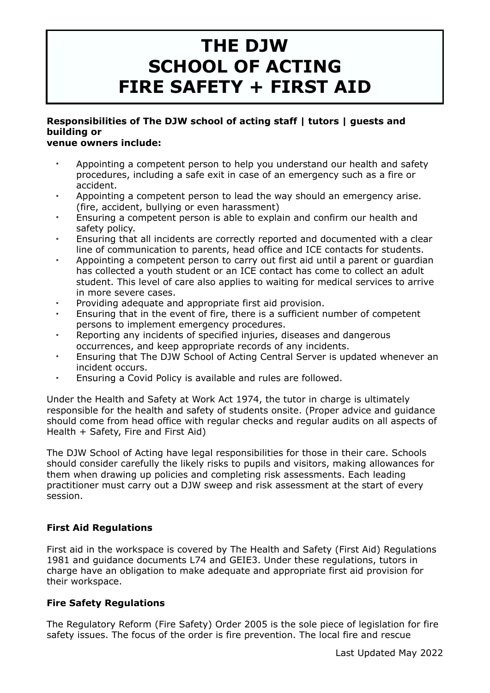# **THE DJW SCHOOL OF ACTING FIRE SAFETY + FIRST AID**

## **Responsibilities of The DJW school of acting staff | tutors | guests and building or**

## **venue owners include:**

- Appointing a competent person to help you understand our health and safety procedures, including a safe exit in case of an emergency such as a fire or accident.
- Appointing a competent person to lead the way should an emergency arise. (fire, accident, bullying or even harassment)
- Ensuring a competent person is able to explain and confirm our health and safety policy.
- Ensuring that all incidents are correctly reported and documented with a clear line of communication to parents, head office and ICE contacts for students.
- Appointing a competent person to carry out first aid until a parent or guardian has collected a youth student or an ICE contact has come to collect an adult student. This level of care also applies to waiting for medical services to arrive in more severe cases.
- Providing adequate and appropriate first aid provision.
- Ensuring that in the event of fire, there is a sufficient number of competent persons to implement emergency procedures.
- Reporting any incidents of specified injuries, diseases and dangerous occurrences, and keep appropriate records of any incidents.
- Ensuring that The DJW School of Acting Central Server is updated whenever an incident occurs.
- Ensuring a Covid Policy is available and rules are followed.

Under the Health and Safety at Work Act 1974, the tutor in charge is ultimately responsible for the health and safety of students onsite. (Proper advice and guidance should come from head office with regular checks and regular audits on all aspects of Health + Safety, Fire and First Aid)

The DJW School of Acting have legal responsibilities for those in their care. Schools should consider carefully the likely risks to pupils and visitors, making allowances for them when drawing up policies and completing risk assessments. Each leading practitioner must carry out a DJW sweep and risk assessment at the start of every session.

## **First Aid Regulations**

First aid in the workspace is covered by The Health and Safety (First Aid) Regulations 1981 and guidance documents L74 and GEIE3. Under these regulations, tutors in charge have an obligation to make adequate and appropriate first aid provision for their workspace.

## **Fire Safety Regulations**

The Regulatory Reform (Fire Safety) Order 2005 is the sole piece of legislation for fire safety issues. The focus of the order is fire prevention. The local fire and rescue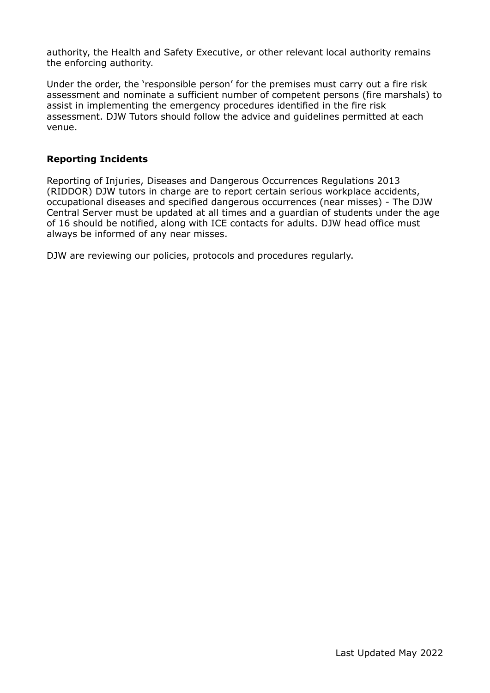authority, the Health and Safety Executive, or other relevant local authority remains the enforcing authority.

Under the order, the 'responsible person' for the premises must carry out a fire risk assessment and nominate a sufficient number of competent persons (fire marshals) to assist in implementing the emergency procedures identified in the fire risk assessment. DJW Tutors should follow the advice and guidelines permitted at each venue.

#### **Reporting Incidents**

Reporting of Injuries, Diseases and Dangerous Occurrences Regulations 2013 (RIDDOR) DJW tutors in charge are to report certain serious workplace accidents, occupational diseases and specified dangerous occurrences (near misses) - The DJW Central Server must be updated at all times and a guardian of students under the age of 16 should be notified, along with ICE contacts for adults. DJW head office must always be informed of any near misses.

DJW are reviewing our policies, protocols and procedures regularly.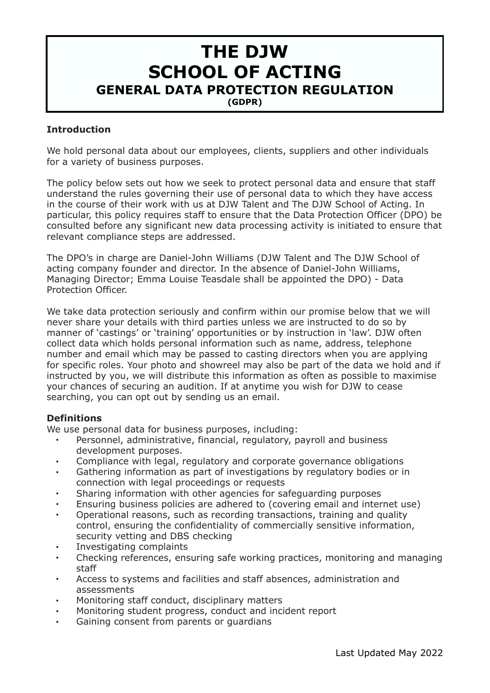## **THE DJW SCHOOL OF ACTING GENERAL DATA PROTECTION REGULATION (GDPR)**

#### **Introduction**

We hold personal data about our employees, clients, suppliers and other individuals for a variety of business purposes.

The policy below sets out how we seek to protect personal data and ensure that staff understand the rules governing their use of personal data to which they have access in the course of their work with us at DJW Talent and The DJW School of Acting. In particular, this policy requires staff to ensure that the Data Protection Officer (DPO) be consulted before any significant new data processing activity is initiated to ensure that relevant compliance steps are addressed.

The DPO's in charge are Daniel-John Williams (DJW Talent and The DJW School of acting company founder and director. In the absence of Daniel-John Williams, Managing Director; Emma Louise Teasdale shall be appointed the DPO) - Data Protection Officer.

We take data protection seriously and confirm within our promise below that we will never share your details with third parties unless we are instructed to do so by manner of 'castings' or 'training' opportunities or by instruction in 'law'. DJW often collect data which holds personal information such as name, address, telephone number and email which may be passed to casting directors when you are applying for specific roles. Your photo and showreel may also be part of the data we hold and if instructed by you, we will distribute this information as often as possible to maximise your chances of securing an audition. If at anytime you wish for DJW to cease searching, you can opt out by sending us an email.

## **Definitions**

We use personal data for business purposes, including:

- Personnel, administrative, financial, regulatory, payroll and business development purposes.
- Compliance with legal, regulatory and corporate governance obligations
- Gathering information as part of investigations by regulatory bodies or in connection with legal proceedings or requests
- Sharing information with other agencies for safeguarding purposes
- Ensuring business policies are adhered to (covering email and internet use)
- Operational reasons, such as recording transactions, training and quality control, ensuring the confidentiality of commercially sensitive information, security vetting and DBS checking
- Investigating complaints
- Checking references, ensuring safe working practices, monitoring and managing staff
- Access to systems and facilities and staff absences, administration and assessments
- Monitoring staff conduct, disciplinary matters
- Monitoring student progress, conduct and incident report
- Gaining consent from parents or guardians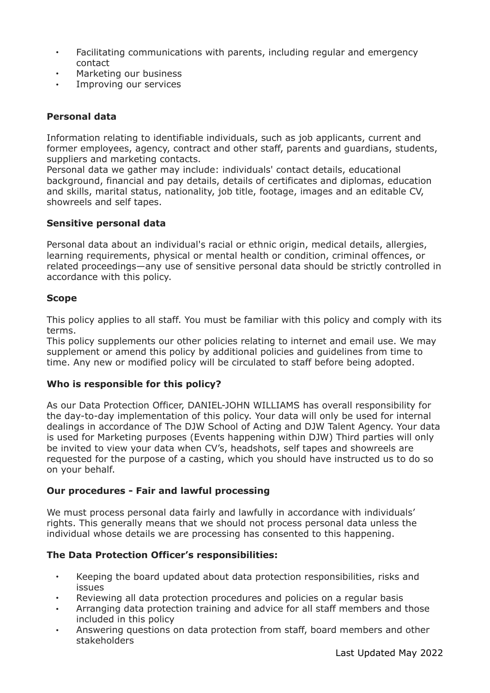- Facilitating communications with parents, including regular and emergency contact
- Marketing our business
- Improving our services

## **Personal data**

Information relating to identifiable individuals, such as job applicants, current and former employees, agency, contract and other staff, parents and guardians, students, suppliers and marketing contacts.

Personal data we gather may include: individuals' contact details, educational background, financial and pay details, details of certificates and diplomas, education and skills, marital status, nationality, job title, footage, images and an editable CV, showreels and self tapes.

## **Sensitive personal data**

Personal data about an individual's racial or ethnic origin, medical details, allergies, learning requirements, physical or mental health or condition, criminal offences, or related proceedings—any use of sensitive personal data should be strictly controlled in accordance with this policy.

#### **Scope**

This policy applies to all staff. You must be familiar with this policy and comply with its terms.

This policy supplements our other policies relating to internet and email use. We may supplement or amend this policy by additional policies and guidelines from time to time. Any new or modified policy will be circulated to staff before being adopted.

## **Who is responsible for this policy?**

As our Data Protection Officer, DANIEL-JOHN WILLIAMS has overall responsibility for the day-to-day implementation of this policy. Your data will only be used for internal dealings in accordance of The DJW School of Acting and DJW Talent Agency. Your data is used for Marketing purposes (Events happening within DJW) Third parties will only be invited to view your data when CV's, headshots, self tapes and showreels are requested for the purpose of a casting, which you should have instructed us to do so on your behalf.

## **Our procedures - Fair and lawful processing**

We must process personal data fairly and lawfully in accordance with individuals' rights. This generally means that we should not process personal data unless the individual whose details we are processing has consented to this happening.

## **The Data Protection Officer's responsibilities:**

- Keeping the board updated about data protection responsibilities, risks and issues
- Reviewing all data protection procedures and policies on a regular basis
- Arranging data protection training and advice for all staff members and those included in this policy
- Answering questions on data protection from staff, board members and other stakeholders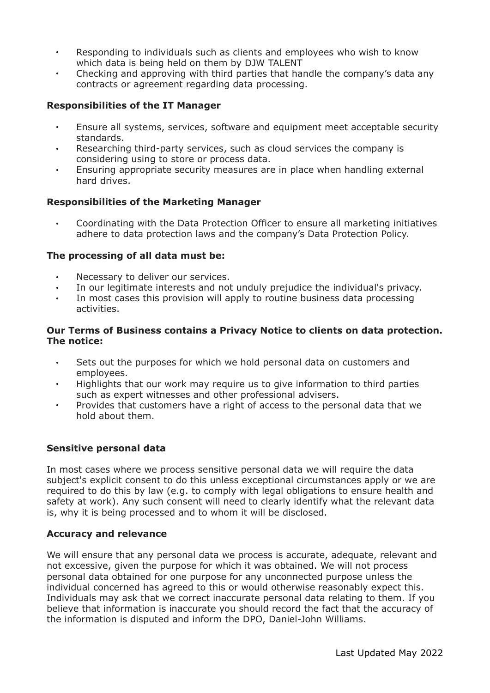- Responding to individuals such as clients and employees who wish to know which data is being held on them by DJW TALENT
- Checking and approving with third parties that handle the company's data any contracts or agreement regarding data processing.

## **Responsibilities of the IT Manager**

- Ensure all systems, services, software and equipment meet acceptable security standards.
- Researching third-party services, such as cloud services the company is considering using to store or process data.
- Ensuring appropriate security measures are in place when handling external hard drives.

#### **Responsibilities of the Marketing Manager**

• Coordinating with the Data Protection Officer to ensure all marketing initiatives adhere to data protection laws and the company's Data Protection Policy.

#### **The processing of all data must be:**

- Necessary to deliver our services.
- In our legitimate interests and not unduly prejudice the individual's privacy.
- In most cases this provision will apply to routine business data processing activities.

#### **Our Terms of Business contains a Privacy Notice to clients on data protection. The notice:**

- Sets out the purposes for which we hold personal data on customers and employees.
- Highlights that our work may require us to give information to third parties such as expert witnesses and other professional advisers.
- Provides that customers have a right of access to the personal data that we hold about them.

## **Sensitive personal data**

In most cases where we process sensitive personal data we will require the data subject's explicit consent to do this unless exceptional circumstances apply or we are required to do this by law (e.g. to comply with legal obligations to ensure health and safety at work). Any such consent will need to clearly identify what the relevant data is, why it is being processed and to whom it will be disclosed.

#### **Accuracy and relevance**

We will ensure that any personal data we process is accurate, adequate, relevant and not excessive, given the purpose for which it was obtained. We will not process personal data obtained for one purpose for any unconnected purpose unless the individual concerned has agreed to this or would otherwise reasonably expect this. Individuals may ask that we correct inaccurate personal data relating to them. If you believe that information is inaccurate you should record the fact that the accuracy of the information is disputed and inform the DPO, Daniel-John Williams.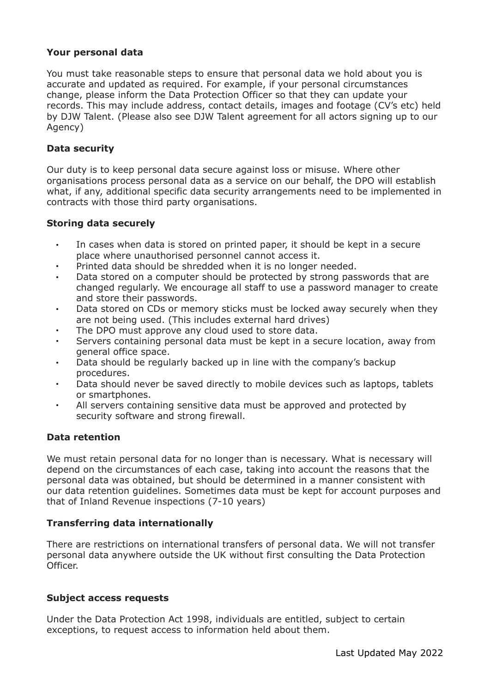#### **Your personal data**

You must take reasonable steps to ensure that personal data we hold about you is accurate and updated as required. For example, if your personal circumstances change, please inform the Data Protection Officer so that they can update your records. This may include address, contact details, images and footage (CV's etc) held by DJW Talent. (Please also see DJW Talent agreement for all actors signing up to our Agency)

#### **Data security**

Our duty is to keep personal data secure against loss or misuse. Where other organisations process personal data as a service on our behalf, the DPO will establish what, if any, additional specific data security arrangements need to be implemented in contracts with those third party organisations.

#### **Storing data securely**

- In cases when data is stored on printed paper, it should be kept in a secure place where unauthorised personnel cannot access it.
- Printed data should be shredded when it is no longer needed.
- Data stored on a computer should be protected by strong passwords that are changed regularly. We encourage all staff to use a password manager to create and store their passwords.
- Data stored on CDs or memory sticks must be locked away securely when they are not being used. (This includes external hard drives)
- The DPO must approve any cloud used to store data.
- Servers containing personal data must be kept in a secure location, away from general office space.
- Data should be regularly backed up in line with the company's backup procedures.
- Data should never be saved directly to mobile devices such as laptops, tablets or smartphones.
- All servers containing sensitive data must be approved and protected by security software and strong firewall.

#### **Data retention**

We must retain personal data for no longer than is necessary. What is necessary will depend on the circumstances of each case, taking into account the reasons that the personal data was obtained, but should be determined in a manner consistent with our data retention guidelines. Sometimes data must be kept for account purposes and that of Inland Revenue inspections (7-10 years)

#### **Transferring data internationally**

There are restrictions on international transfers of personal data. We will not transfer personal data anywhere outside the UK without first consulting the Data Protection Officer.

#### **Subject access requests**

Under the Data Protection Act 1998, individuals are entitled, subject to certain exceptions, to request access to information held about them.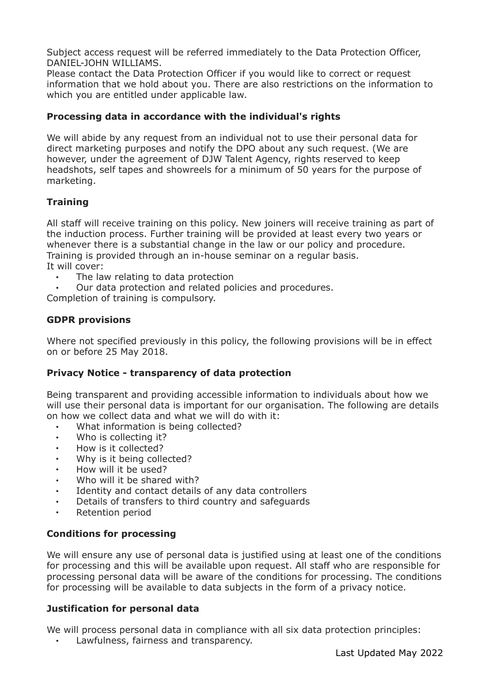Subject access request will be referred immediately to the Data Protection Officer, DANIEL-JOHN WILLIAMS.

Please contact the Data Protection Officer if you would like to correct or request information that we hold about you. There are also restrictions on the information to which you are entitled under applicable law.

## **Processing data in accordance with the individual's rights**

We will abide by any request from an individual not to use their personal data for direct marketing purposes and notify the DPO about any such request. (We are however, under the agreement of DJW Talent Agency, rights reserved to keep headshots, self tapes and showreels for a minimum of 50 years for the purpose of marketing.

## **Training**

All staff will receive training on this policy. New joiners will receive training as part of the induction process. Further training will be provided at least every two years or whenever there is a substantial change in the law or our policy and procedure. Training is provided through an in-house seminar on a regular basis. It will cover:

- The law relating to data protection
- Our data protection and related policies and procedures.

Completion of training is compulsory.

## **GDPR provisions**

Where not specified previously in this policy, the following provisions will be in effect on or before 25 May 2018.

## **Privacy Notice - transparency of data protection**

Being transparent and providing accessible information to individuals about how we will use their personal data is important for our organisation. The following are details on how we collect data and what we will do with it:

- What information is being collected?
- Who is collecting it?
- How is it collected?
- Why is it being collected?
- How will it be used?
- Who will it be shared with?
- Identity and contact details of any data controllers
- Details of transfers to third country and safeguards
- Retention period

## **Conditions for processing**

We will ensure any use of personal data is justified using at least one of the conditions for processing and this will be available upon request. All staff who are responsible for processing personal data will be aware of the conditions for processing. The conditions for processing will be available to data subjects in the form of a privacy notice.

#### **Justification for personal data**

We will process personal data in compliance with all six data protection principles:

• Lawfulness, fairness and transparency.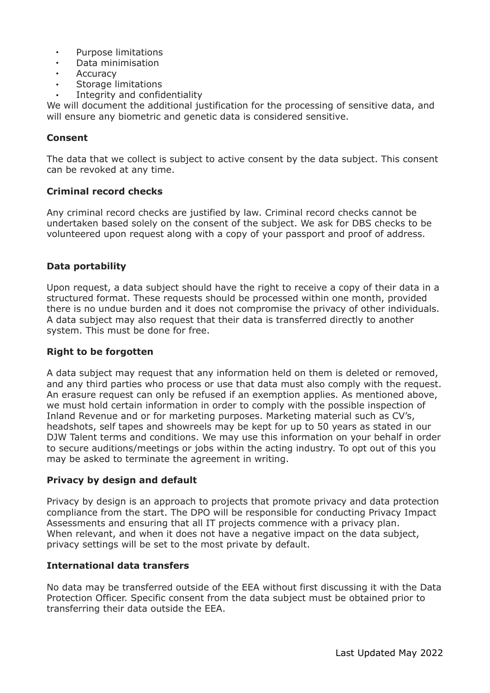- Purpose limitations
- Data minimisation
- **Accuracy**
- Storage limitations
- Integrity and confidentiality

We will document the additional justification for the processing of sensitive data, and will ensure any biometric and genetic data is considered sensitive.

## **Consent**

The data that we collect is subject to active consent by the data subject. This consent can be revoked at any time.

#### **Criminal record checks**

Any criminal record checks are justified by law. Criminal record checks cannot be undertaken based solely on the consent of the subject. We ask for DBS checks to be volunteered upon request along with a copy of your passport and proof of address.

#### **Data portability**

Upon request, a data subject should have the right to receive a copy of their data in a structured format. These requests should be processed within one month, provided there is no undue burden and it does not compromise the privacy of other individuals. A data subject may also request that their data is transferred directly to another system. This must be done for free.

#### **Right to be forgotten**

A data subject may request that any information held on them is deleted or removed, and any third parties who process or use that data must also comply with the request. An erasure request can only be refused if an exemption applies. As mentioned above, we must hold certain information in order to comply with the possible inspection of Inland Revenue and or for marketing purposes. Marketing material such as CV's, headshots, self tapes and showreels may be kept for up to 50 years as stated in our DJW Talent terms and conditions. We may use this information on your behalf in order to secure auditions/meetings or jobs within the acting industry. To opt out of this you may be asked to terminate the agreement in writing.

#### **Privacy by design and default**

Privacy by design is an approach to projects that promote privacy and data protection compliance from the start. The DPO will be responsible for conducting Privacy Impact Assessments and ensuring that all IT projects commence with a privacy plan. When relevant, and when it does not have a negative impact on the data subject, privacy settings will be set to the most private by default.

#### **International data transfers**

No data may be transferred outside of the EEA without first discussing it with the Data Protection Officer. Specific consent from the data subject must be obtained prior to transferring their data outside the EEA.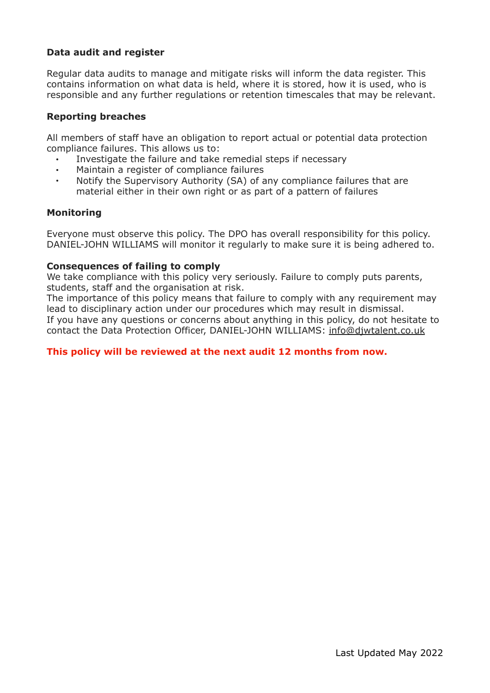## **Data audit and register**

Regular data audits to manage and mitigate risks will inform the data register. This contains information on what data is held, where it is stored, how it is used, who is responsible and any further regulations or retention timescales that may be relevant.

#### **Reporting breaches**

All members of staff have an obligation to report actual or potential data protection compliance failures. This allows us to:

- Investigate the failure and take remedial steps if necessary
- Maintain a register of compliance failures
- Notify the Supervisory Authority (SA) of any compliance failures that are material either in their own right or as part of a pattern of failures

#### **Monitoring**

Everyone must observe this policy. The DPO has overall responsibility for this policy. DANIEL-JOHN WILLIAMS will monitor it regularly to make sure it is being adhered to.

#### **Consequences of failing to comply**

We take compliance with this policy very seriously. Failure to comply puts parents, students, staff and the organisation at risk.

The importance of this policy means that failure to comply with any requirement may lead to disciplinary action under our procedures which may result in dismissal. If you have any questions or concerns about anything in this policy, do not hesitate to contact the Data Protection Officer, DANIEL-JOHN WILLIAMS: [info@djwtalent.co.uk](mailto:info@djwtalent.co.uk)

#### **This policy will be reviewed at the next audit 12 months from now.**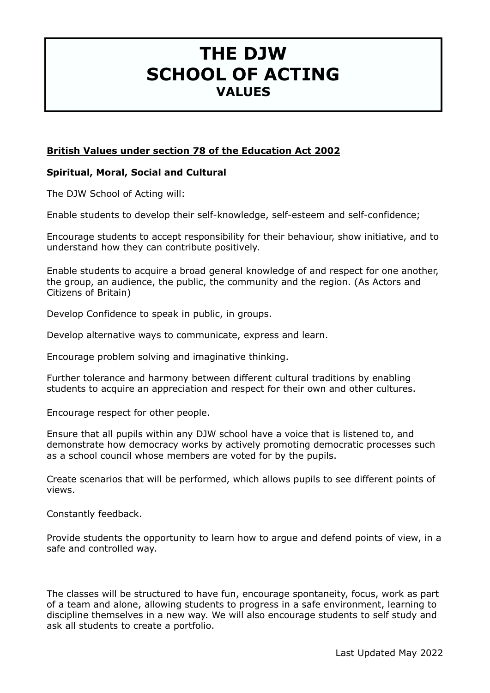## **THE DJW SCHOOL OF ACTING VALUES**

## **British Values under section 78 of the Education Act 2002**

## **Spiritual, Moral, Social and Cultural**

The DJW School of Acting will:

Enable students to develop their self-knowledge, self-esteem and self-confidence;

Encourage students to accept responsibility for their behaviour, show initiative, and to understand how they can contribute positively.

Enable students to acquire a broad general knowledge of and respect for one another, the group, an audience, the public, the community and the region. (As Actors and Citizens of Britain)

Develop Confidence to speak in public, in groups.

Develop alternative ways to communicate, express and learn.

Encourage problem solving and imaginative thinking.

Further tolerance and harmony between different cultural traditions by enabling students to acquire an appreciation and respect for their own and other cultures.

Encourage respect for other people.

Ensure that all pupils within any DJW school have a voice that is listened to, and demonstrate how democracy works by actively promoting democratic processes such as a school council whose members are voted for by the pupils.

Create scenarios that will be performed, which allows pupils to see different points of views.

Constantly feedback.

Provide students the opportunity to learn how to argue and defend points of view, in a safe and controlled way.

The classes will be structured to have fun, encourage spontaneity, focus, work as part of a team and alone, allowing students to progress in a safe environment, learning to discipline themselves in a new way. We will also encourage students to self study and ask all students to create a portfolio.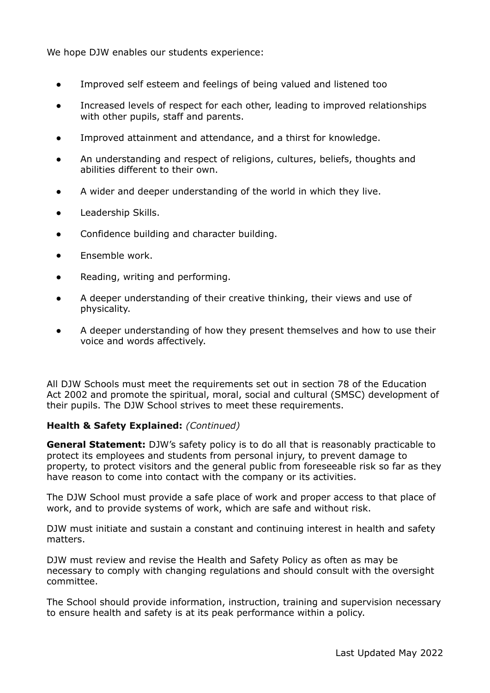We hope DJW enables our students experience:

- Improved self esteem and feelings of being valued and listened too
- Increased levels of respect for each other, leading to improved relationships with other pupils, staff and parents.
- Improved attainment and attendance, and a thirst for knowledge.
- An understanding and respect of religions, cultures, beliefs, thoughts and abilities different to their own.
- A wider and deeper understanding of the world in which they live.
- Leadership Skills.
- Confidence building and character building.
- Ensemble work.
- Reading, writing and performing.
- A deeper understanding of their creative thinking, their views and use of physicality.
- A deeper understanding of how they present themselves and how to use their voice and words affectively.

All DJW Schools must meet the requirements set out in section 78 of the Education Act 2002 and promote the spiritual, moral, social and cultural (SMSC) development of their pupils. The DJW School strives to meet these requirements.

#### **Health & Safety Explained:** *(Continued)*

**General Statement:** DJW's safety policy is to do all that is reasonably practicable to protect its employees and students from personal injury, to prevent damage to property, to protect visitors and the general public from foreseeable risk so far as they have reason to come into contact with the company or its activities.

The DJW School must provide a safe place of work and proper access to that place of work, and to provide systems of work, which are safe and without risk.

DJW must initiate and sustain a constant and continuing interest in health and safety matters.

DJW must review and revise the Health and Safety Policy as often as may be necessary to comply with changing regulations and should consult with the oversight committee.

The School should provide information, instruction, training and supervision necessary to ensure health and safety is at its peak performance within a policy.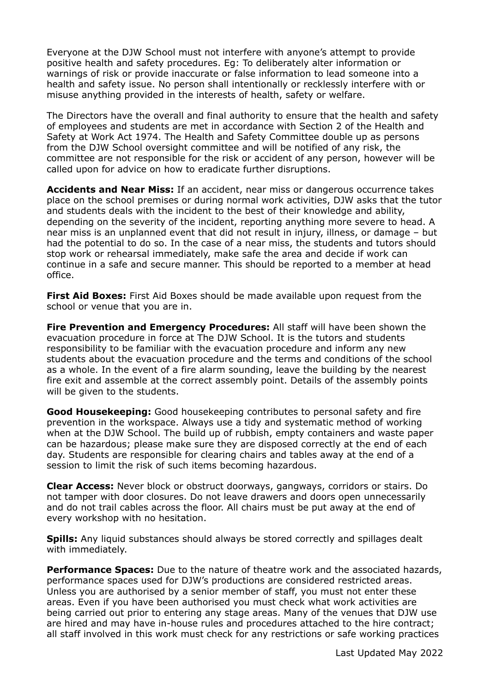Everyone at the DJW School must not interfere with anyone's attempt to provide positive health and safety procedures. Eg: To deliberately alter information or warnings of risk or provide inaccurate or false information to lead someone into a health and safety issue. No person shall intentionally or recklessly interfere with or misuse anything provided in the interests of health, safety or welfare.

The Directors have the overall and final authority to ensure that the health and safety of employees and students are met in accordance with Section 2 of the Health and Safety at Work Act 1974. The Health and Safety Committee double up as persons from the DJW School oversight committee and will be notified of any risk, the committee are not responsible for the risk or accident of any person, however will be called upon for advice on how to eradicate further disruptions.

**Accidents and Near Miss:** If an accident, near miss or dangerous occurrence takes place on the school premises or during normal work activities, DJW asks that the tutor and students deals with the incident to the best of their knowledge and ability, depending on the severity of the incident, reporting anything more severe to head. A near miss is an unplanned event that did not result in injury, illness, or damage – but had the potential to do so. In the case of a near miss, the students and tutors should stop work or rehearsal immediately, make safe the area and decide if work can continue in a safe and secure manner. This should be reported to a member at head office.

**First Aid Boxes:** First Aid Boxes should be made available upon request from the school or venue that you are in.

**Fire Prevention and Emergency Procedures:** All staff will have been shown the evacuation procedure in force at The DJW School. It is the tutors and students responsibility to be familiar with the evacuation procedure and inform any new students about the evacuation procedure and the terms and conditions of the school as a whole. In the event of a fire alarm sounding, leave the building by the nearest fire exit and assemble at the correct assembly point. Details of the assembly points will be given to the students.

**Good Housekeeping:** Good housekeeping contributes to personal safety and fire prevention in the workspace. Always use a tidy and systematic method of working when at the DJW School. The build up of rubbish, empty containers and waste paper can be hazardous; please make sure they are disposed correctly at the end of each day. Students are responsible for clearing chairs and tables away at the end of a session to limit the risk of such items becoming hazardous.

**Clear Access:** Never block or obstruct doorways, gangways, corridors or stairs. Do not tamper with door closures. Do not leave drawers and doors open unnecessarily and do not trail cables across the floor. All chairs must be put away at the end of every workshop with no hesitation.

**Spills:** Any liquid substances should always be stored correctly and spillages dealt with immediately.

**Performance Spaces:** Due to the nature of theatre work and the associated hazards, performance spaces used for DJW's productions are considered restricted areas. Unless you are authorised by a senior member of staff, you must not enter these areas. Even if you have been authorised you must check what work activities are being carried out prior to entering any stage areas. Many of the venues that DJW use are hired and may have in-house rules and procedures attached to the hire contract; all staff involved in this work must check for any restrictions or safe working practices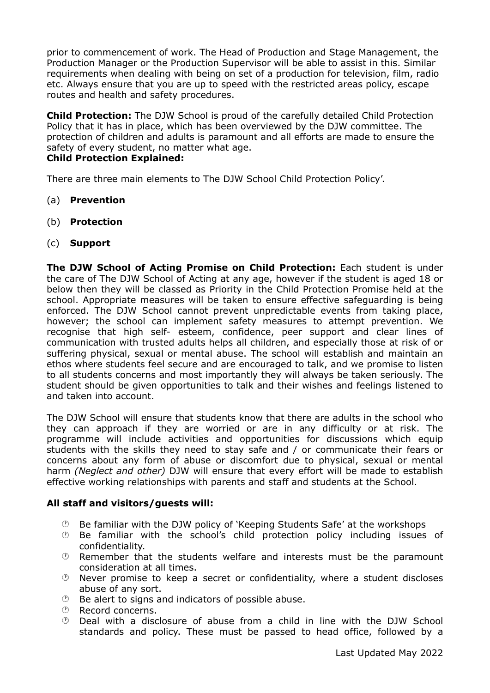prior to commencement of work. The Head of Production and Stage Management, the Production Manager or the Production Supervisor will be able to assist in this. Similar requirements when dealing with being on set of a production for television, film, radio etc. Always ensure that you are up to speed with the restricted areas policy, escape routes and health and safety procedures.

**Child Protection:** The DJW School is proud of the carefully detailed Child Protection Policy that it has in place, which has been overviewed by the DJW committee. The protection of children and adults is paramount and all efforts are made to ensure the safety of every student, no matter what age. **Child Protection Explained:** 

There are three main elements to The DJW School Child Protection Policy'.

- (a) **Prevention**
- (b) **Protection**
- (c) **Support**

**The DJW School of Acting Promise on Child Protection:** Each student is under the care of The DJW School of Acting at any age, however if the student is aged 18 or below then they will be classed as Priority in the Child Protection Promise held at the school. Appropriate measures will be taken to ensure effective safeguarding is being enforced. The DJW School cannot prevent unpredictable events from taking place, however; the school can implement safety measures to attempt prevention. We recognise that high self- esteem, confidence, peer support and clear lines of communication with trusted adults helps all children, and especially those at risk of or suffering physical, sexual or mental abuse. The school will establish and maintain an ethos where students feel secure and are encouraged to talk, and we promise to listen to all students concerns and most importantly they will always be taken seriously. The student should be given opportunities to talk and their wishes and feelings listened to and taken into account.

The DJW School will ensure that students know that there are adults in the school who they can approach if they are worried or are in any difficulty or at risk. The programme will include activities and opportunities for discussions which equip students with the skills they need to stay safe and / or communicate their fears or concerns about any form of abuse or discomfort due to physical, sexual or mental harm *(Neglect and other)* DJW will ensure that every effort will be made to establish effective working relationships with parents and staff and students at the School.

## **All staff and visitors/guests will:**

- $\odot$  Be familiar with the DJW policy of 'Keeping Students Safe' at the workshops
- $\odot$  Be familiar with the school's child protection policy including issues of confidentiality.
- $\odot$  Remember that the students welfare and interests must be the paramount consideration at all times.
- $\odot$  Never promise to keep a secret or confidentiality, where a student discloses abuse of any sort.
- $\circled{e}$  Be alert to signs and indicators of possible abuse.
- $\circledR$  Record concerns.
- $\degree$  Deal with a disclosure of abuse from a child in line with the DJW School standards and policy. These must be passed to head office, followed by a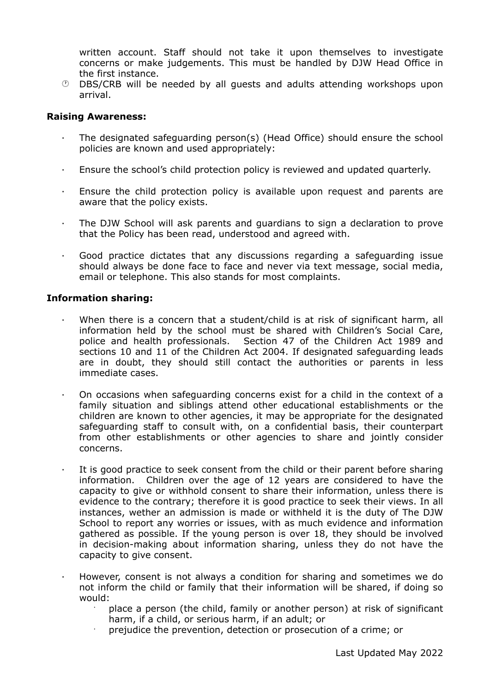written account. Staff should not take it upon themselves to investigate concerns or make judgements. This must be handled by DJW Head Office in the first instance.

 $\circled{D}$  DBS/CRB will be needed by all guests and adults attending workshops upon arrival.

#### **Raising Awareness:**

- · The designated safeguarding person(s) (Head Office) should ensure the school policies are known and used appropriately:
- · Ensure the school's child protection policy is reviewed and updated quarterly.
- · Ensure the child protection policy is available upon request and parents are aware that the policy exists.
- · The DJW School will ask parents and guardians to sign a declaration to prove that the Policy has been read, understood and agreed with.
- · Good practice dictates that any discussions regarding a safeguarding issue should always be done face to face and never via text message, social media, email or telephone. This also stands for most complaints.

#### **Information sharing:**

- When there is a concern that a student/child is at risk of significant harm, all information held by the school must be shared with Children's Social Care, police and health professionals. Section 47 of the Children Act 1989 and sections 10 and 11 of the Children Act 2004. If designated safeguarding leads are in doubt, they should still contact the authorities or parents in less immediate cases.
- · On occasions when safeguarding concerns exist for a child in the context of a family situation and siblings attend other educational establishments or the children are known to other agencies, it may be appropriate for the designated safeguarding staff to consult with, on a confidential basis, their counterpart from other establishments or other agencies to share and jointly consider concerns.
- It is good practice to seek consent from the child or their parent before sharing information. Children over the age of 12 years are considered to have the capacity to give or withhold consent to share their information, unless there is evidence to the contrary; therefore it is good practice to seek their views. In all instances, wether an admission is made or withheld it is the duty of The DJW School to report any worries or issues, with as much evidence and information gathered as possible. If the young person is over 18, they should be involved in decision-making about information sharing, unless they do not have the capacity to give consent.
- · However, consent is not always a condition for sharing and sometimes we do not inform the child or family that their information will be shared, if doing so would:
	- · place a person (the child, family or another person) at risk of significant harm, if a child, or serious harm, if an adult; or
	- · prejudice the prevention, detection or prosecution of a crime; or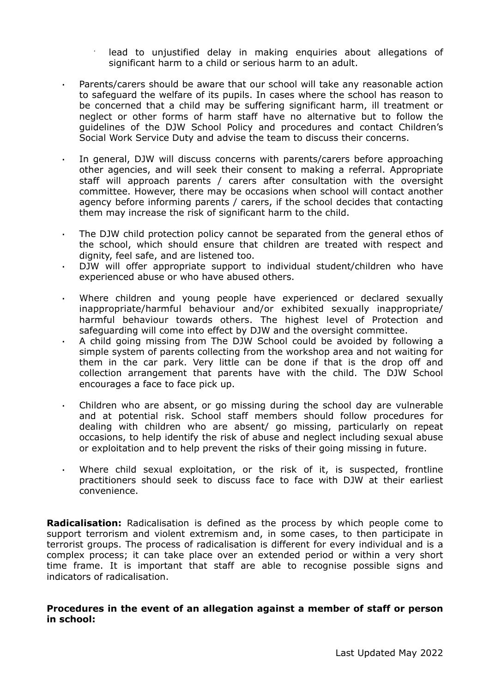lead to unjustified delay in making enquiries about allegations of significant harm to a child or serious harm to an adult.

- Parents/carers should be aware that our school will take any reasonable action to safeguard the welfare of its pupils. In cases where the school has reason to be concerned that a child may be suffering significant harm, ill treatment or neglect or other forms of harm staff have no alternative but to follow the guidelines of the DJW School Policy and procedures and contact Children's Social Work Service Duty and advise the team to discuss their concerns.
- · In general, DJW will discuss concerns with parents/carers before approaching other agencies, and will seek their consent to making a referral. Appropriate staff will approach parents / carers after consultation with the oversight committee. However, there may be occasions when school will contact another agency before informing parents / carers, if the school decides that contacting them may increase the risk of significant harm to the child.
- The DJW child protection policy cannot be separated from the general ethos of the school, which should ensure that children are treated with respect and dignity, feel safe, and are listened too.
- DJW will offer appropriate support to individual student/children who have experienced abuse or who have abused others.
- Where children and young people have experienced or declared sexually inappropriate/harmful behaviour and/or exhibited sexually inappropriate/ harmful behaviour towards others. The highest level of Protection and safeguarding will come into effect by DJW and the oversight committee.
- · A child going missing from The DJW School could be avoided by following a simple system of parents collecting from the workshop area and not waiting for them in the car park. Very little can be done if that is the drop off and collection arrangement that parents have with the child. The DJW School encourages a face to face pick up.
- · Children who are absent, or go missing during the school day are vulnerable and at potential risk. School staff members should follow procedures for dealing with children who are absent/ go missing, particularly on repeat occasions, to help identify the risk of abuse and neglect including sexual abuse or exploitation and to help prevent the risks of their going missing in future.
- Where child sexual exploitation, or the risk of it, is suspected, frontline practitioners should seek to discuss face to face with DJW at their earliest convenience.

**Radicalisation:** Radicalisation is defined as the process by which people come to support terrorism and violent extremism and, in some cases, to then participate in terrorist groups. The process of radicalisation is different for every individual and is a complex process; it can take place over an extended period or within a very short time frame. It is important that staff are able to recognise possible signs and indicators of radicalisation.

#### **Procedures in the event of an allegation against a member of staff or person in school:**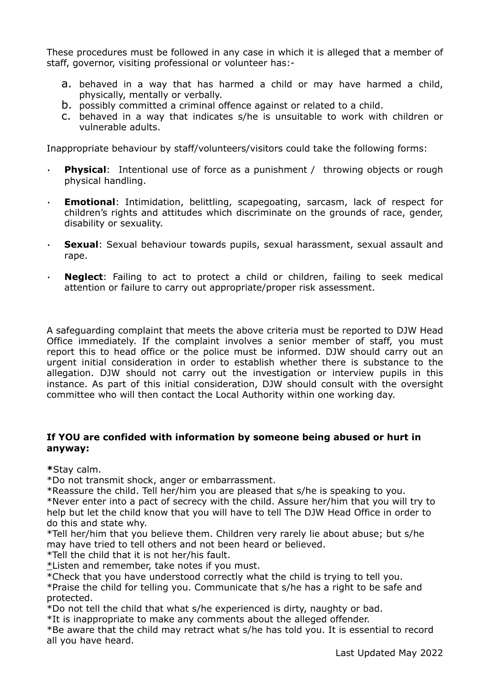These procedures must be followed in any case in which it is alleged that a member of staff, governor, visiting professional or volunteer has:-

- a. behaved in a way that has harmed a child or may have harmed a child, physically, mentally or verbally.
- b. possibly committed a criminal offence against or related to a child.
- c. behaved in a way that indicates s/he is unsuitable to work with children or vulnerable adults.

Inappropriate behaviour by staff/volunteers/visitors could take the following forms:

- **Physical**: Intentional use of force as a punishment / throwing objects or rough physical handling.
- · **Emotional**: Intimidation, belittling, scapegoating, sarcasm, lack of respect for children's rights and attitudes which discriminate on the grounds of race, gender, disability or sexuality.
- · **Sexual**: Sexual behaviour towards pupils, sexual harassment, sexual assault and rape.
- **Neglect:** Failing to act to protect a child or children, failing to seek medical attention or failure to carry out appropriate/proper risk assessment.

A safeguarding complaint that meets the above criteria must be reported to DJW Head Office immediately. If the complaint involves a senior member of staff, you must report this to head office or the police must be informed. DJW should carry out an urgent initial consideration in order to establish whether there is substance to the allegation. DJW should not carry out the investigation or interview pupils in this instance. As part of this initial consideration, DJW should consult with the oversight committee who will then contact the Local Authority within one working day.

#### **If YOU are confided with information by someone being abused or hurt in anyway:**

**\***Stay calm.

\*Do not transmit shock, anger or embarrassment.

\*Reassure the child. Tell her/him you are pleased that s/he is speaking to you.

\*Never enter into a pact of secrecy with the child. Assure her/him that you will try to help but let the child know that you will have to tell The DJW Head Office in order to do this and state why.

\*Tell her/him that you believe them. Children very rarely lie about abuse; but s/he may have tried to tell others and not been heard or believed.

\*Tell the child that it is not her/his fault.

\*Listen and remember, take notes if you must.

\*Check that you have understood correctly what the child is trying to tell you.

\*Praise the child for telling you. Communicate that s/he has a right to be safe and protected.

\*Do not tell the child that what s/he experienced is dirty, naughty or bad.

\*It is inappropriate to make any comments about the alleged offender.

\*Be aware that the child may retract what s/he has told you. It is essential to record all you have heard.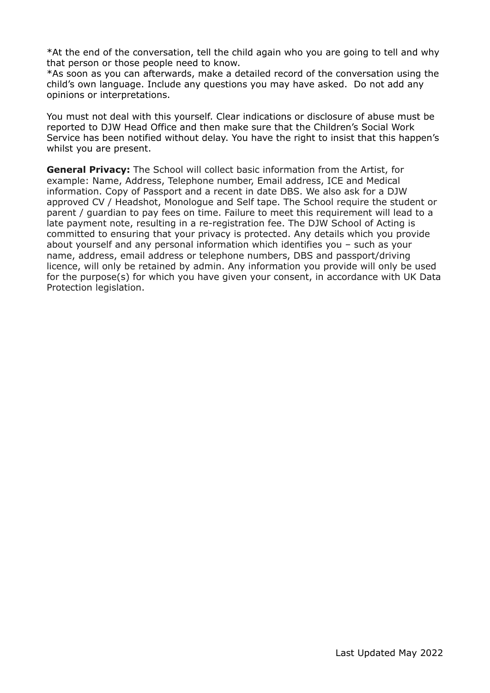\*At the end of the conversation, tell the child again who you are going to tell and why that person or those people need to know.

\*As soon as you can afterwards, make a detailed record of the conversation using the child's own language. Include any questions you may have asked. Do not add any opinions or interpretations.

You must not deal with this yourself. Clear indications or disclosure of abuse must be reported to DJW Head Office and then make sure that the Children's Social Work Service has been notified without delay. You have the right to insist that this happen's whilst you are present.

**General Privacy:** The School will collect basic information from the Artist, for example: Name, Address, Telephone number, Email address, ICE and Medical information. Copy of Passport and a recent in date DBS. We also ask for a DJW approved CV / Headshot, Monologue and Self tape. The School require the student or parent / guardian to pay fees on time. Failure to meet this requirement will lead to a late payment note, resulting in a re-registration fee. The DJW School of Acting is committed to ensuring that your privacy is protected. Any details which you provide about yourself and any personal information which identifies you – such as your name, address, email address or telephone numbers, DBS and passport/driving licence, will only be retained by admin. Any information you provide will only be used for the purpose(s) for which you have given your consent, in accordance with UK Data Protection legislation.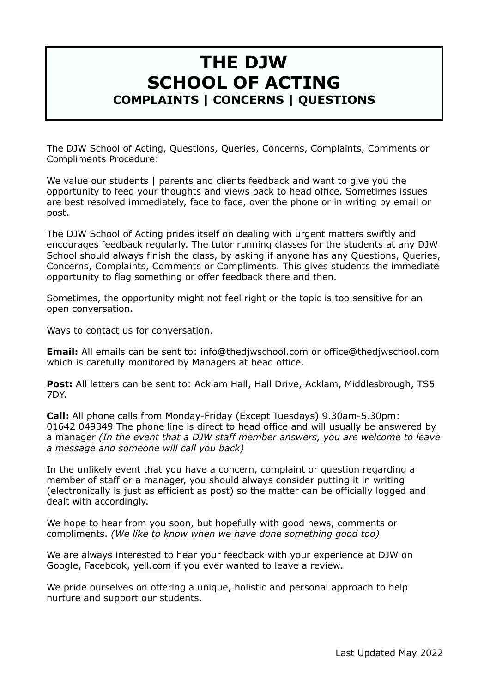## **THE DJW SCHOOL OF ACTING COMPLAINTS | CONCERNS | QUESTIONS**

The DJW School of Acting, Questions, Queries, Concerns, Complaints, Comments or Compliments Procedure:

We value our students | parents and clients feedback and want to give you the opportunity to feed your thoughts and views back to head office. Sometimes issues are best resolved immediately, face to face, over the phone or in writing by email or post.

The DJW School of Acting prides itself on dealing with urgent matters swiftly and encourages feedback regularly. The tutor running classes for the students at any DJW School should always finish the class, by asking if anyone has any Questions, Queries, Concerns, Complaints, Comments or Compliments. This gives students the immediate opportunity to flag something or offer feedback there and then.

Sometimes, the opportunity might not feel right or the topic is too sensitive for an open conversation.

Ways to contact us for conversation.

**Email:** All emails can be sent to: [info@thedjwschool.com](mailto:info@thedjwschool.com) or [office@thedjwschool.com](mailto:office@thedjwschool.com) which is carefully monitored by Managers at head office.

**Post:** All letters can be sent to: Acklam Hall, Hall Drive, Acklam, Middlesbrough, TS5 7DY.

**Call:** All phone calls from Monday-Friday (Except Tuesdays) 9.30am-5.30pm: 01642 049349 The phone line is direct to head office and will usually be answered by a manager *(In the event that a DJW staff member answers, you are welcome to leave a message and someone will call you back)*

In the unlikely event that you have a concern, complaint or question regarding a member of staff or a manager, you should always consider putting it in writing (electronically is just as efficient as post) so the matter can be officially logged and dealt with accordingly.

We hope to hear from you soon, but hopefully with good news, comments or compliments. *(We like to know when we have done something good too)*

We are always interested to hear your feedback with your experience at DJW on Google, Facebook, [yell.com](http://yell.com) if you ever wanted to leave a review.

We pride ourselves on offering a unique, holistic and personal approach to help nurture and support our students.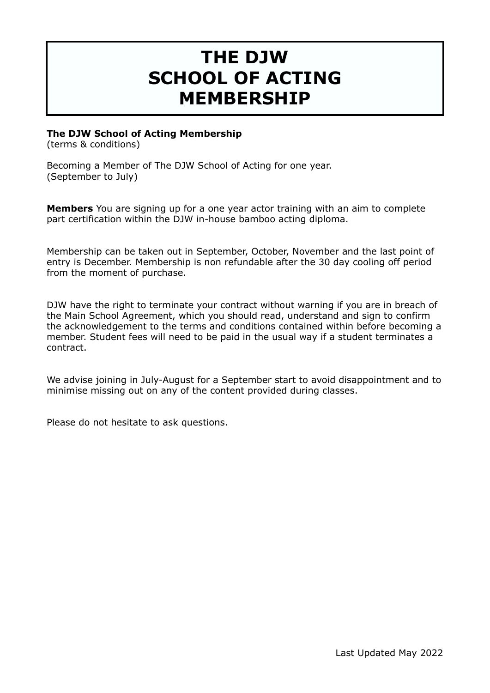# **THE DJW SCHOOL OF ACTING MEMBERSHIP**

## **The DJW School of Acting Membership**

(terms & conditions)

Becoming a Member of The DJW School of Acting for one year. (September to July)

**Members** You are signing up for a one year actor training with an aim to complete part certification within the DJW in-house bamboo acting diploma.

Membership can be taken out in September, October, November and the last point of entry is December. Membership is non refundable after the 30 day cooling off period from the moment of purchase.

DJW have the right to terminate your contract without warning if you are in breach of the Main School Agreement, which you should read, understand and sign to confirm the acknowledgement to the terms and conditions contained within before becoming a member. Student fees will need to be paid in the usual way if a student terminates a contract.

We advise joining in July-August for a September start to avoid disappointment and to minimise missing out on any of the content provided during classes.

Please do not hesitate to ask questions.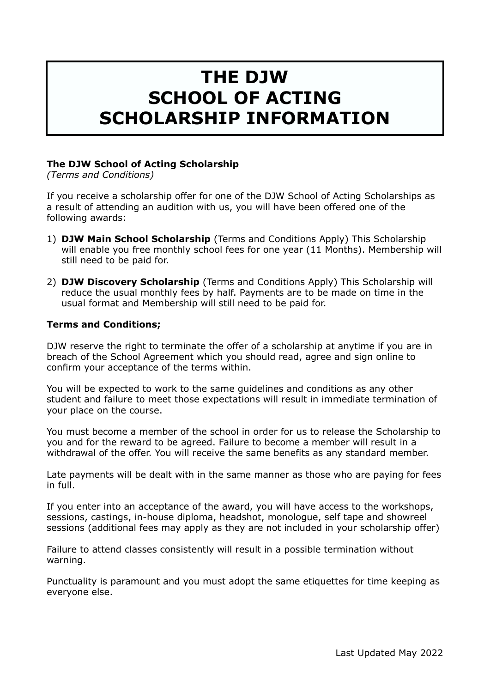# **THE DJW SCHOOL OF ACTING SCHOLARSHIP INFORMATION**

## **The DJW School of Acting Scholarship**

*(Terms and Conditions)* 

If you receive a scholarship offer for one of the DJW School of Acting Scholarships as a result of attending an audition with us, you will have been offered one of the following awards:

- 1) **DJW Main School Scholarship** (Terms and Conditions Apply) This Scholarship will enable you free monthly school fees for one year (11 Months). Membership will still need to be paid for.
- 2) **DJW Discovery Scholarship** (Terms and Conditions Apply) This Scholarship will reduce the usual monthly fees by half. Payments are to be made on time in the usual format and Membership will still need to be paid for.

#### **Terms and Conditions;**

DJW reserve the right to terminate the offer of a scholarship at anytime if you are in breach of the School Agreement which you should read, agree and sign online to confirm your acceptance of the terms within.

You will be expected to work to the same guidelines and conditions as any other student and failure to meet those expectations will result in immediate termination of your place on the course.

You must become a member of the school in order for us to release the Scholarship to you and for the reward to be agreed. Failure to become a member will result in a withdrawal of the offer. You will receive the same benefits as any standard member.

Late payments will be dealt with in the same manner as those who are paying for fees in full.

If you enter into an acceptance of the award, you will have access to the workshops, sessions, castings, in-house diploma, headshot, monologue, self tape and showreel sessions (additional fees may apply as they are not included in your scholarship offer)

Failure to attend classes consistently will result in a possible termination without warning.

Punctuality is paramount and you must adopt the same etiquettes for time keeping as everyone else.